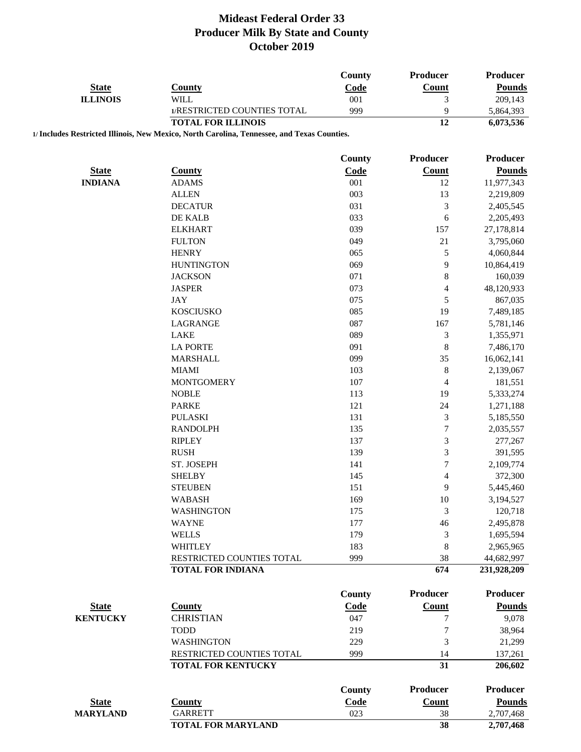|                 |                                                                                             | <b>County</b> | Producer                    | <b>Producer</b>           |
|-----------------|---------------------------------------------------------------------------------------------|---------------|-----------------------------|---------------------------|
| <b>State</b>    | <b>County</b>                                                                               | Code          | Count                       | <b>Pounds</b>             |
| <b>ILLINOIS</b> | <b>WILL</b>                                                                                 | 001           | $\mathfrak{Z}$              | 209,143                   |
|                 | 1/RESTRICTED COUNTIES TOTAL                                                                 | 999           | 9                           | 5,864,393                 |
|                 | <b>TOTAL FOR ILLINOIS</b>                                                                   |               | 12                          | 6,073,536                 |
|                 | 1/ Includes Restricted Illinois, New Mexico, North Carolina, Tennessee, and Texas Counties. |               |                             |                           |
|                 |                                                                                             | County        | Producer                    | <b>Producer</b>           |
| <b>State</b>    | <b>County</b>                                                                               | <b>Code</b>   | Count                       | <b>Pounds</b>             |
| <b>INDIANA</b>  | <b>ADAMS</b>                                                                                | 001           | 12                          | 11,977,343                |
|                 | <b>ALLEN</b>                                                                                | 003           | 13                          | 2,219,809                 |
|                 | <b>DECATUR</b>                                                                              | 031           | $\mathfrak{Z}$              | 2,405,545                 |
|                 | DE KALB                                                                                     | 033           | 6                           | 2,205,493                 |
|                 | <b>ELKHART</b>                                                                              | 039           | 157                         | 27,178,814                |
|                 | <b>FULTON</b>                                                                               | 049           | 21                          | 3,795,060                 |
|                 | <b>HENRY</b>                                                                                | 065           | $\sqrt{5}$                  | 4,060,844                 |
|                 | <b>HUNTINGTON</b>                                                                           | 069           | 9                           | 10,864,419                |
|                 | <b>JACKSON</b>                                                                              | 071           | $\,$ 8 $\,$                 | 160,039                   |
|                 | <b>JASPER</b>                                                                               | 073           | $\overline{4}$              | 48,120,933                |
|                 | <b>JAY</b>                                                                                  | 075           | 5                           | 867,035                   |
|                 | <b>KOSCIUSKO</b>                                                                            | 085           | 19                          | 7,489,185                 |
|                 | LAGRANGE                                                                                    | 087           | 167                         | 5,781,146                 |
|                 | LAKE                                                                                        | 089           | $\mathfrak{Z}$              | 1,355,971                 |
|                 | <b>LA PORTE</b>                                                                             | 091           | 8                           | 7,486,170                 |
|                 | <b>MARSHALL</b>                                                                             | 099           | 35                          | 16,062,141                |
|                 | <b>MIAMI</b>                                                                                | 103           | $\,8\,$                     | 2,139,067                 |
|                 | <b>MONTGOMERY</b>                                                                           | 107           | $\overline{4}$              | 181,551                   |
|                 | <b>NOBLE</b>                                                                                | 113           | 19                          | 5,333,274                 |
|                 | <b>PARKE</b>                                                                                | 121           | 24                          | 1,271,188                 |
|                 | <b>PULASKI</b>                                                                              | 131           | $\ensuremath{\mathfrak{Z}}$ | 5,185,550                 |
|                 | <b>RANDOLPH</b>                                                                             | 135           | $\overline{7}$              | 2,035,557                 |
|                 |                                                                                             | 137           | $\mathfrak{Z}$              |                           |
|                 | <b>RIPLEY</b>                                                                               |               |                             | 277,267                   |
|                 | <b>RUSH</b>                                                                                 | 139           | $\mathfrak{Z}$              | 391,595                   |
|                 | ST. JOSEPH                                                                                  | 141           | $\overline{7}$              | 2,109,774                 |
|                 | <b>SHELBY</b>                                                                               | 145           | $\overline{4}$              | 372,300                   |
|                 | <b>STEUBEN</b>                                                                              | 151           | 9                           | 5,445,460                 |
|                 | <b>WABASH</b>                                                                               | 169           | 10                          | 3,194,527                 |
|                 | <b>WASHINGTON</b>                                                                           | 175           | 3                           | 120,718                   |
|                 | <b>WAYNE</b>                                                                                | 177           | 46                          | 2,495,878                 |
|                 | <b>WELLS</b>                                                                                | 179           | 3                           | 1,695,594                 |
|                 | <b>WHITLEY</b>                                                                              | 183           | 8                           | 2,965,965                 |
|                 | RESTRICTED COUNTIES TOTAL<br><b>TOTAL FOR INDIANA</b>                                       | 999           | 38<br>674                   | 44,682,997<br>231,928,209 |
|                 |                                                                                             |               |                             |                           |
|                 |                                                                                             | County        | Producer                    | <b>Producer</b>           |
| <b>State</b>    | <b>County</b>                                                                               | Code          | Count                       | <b>Pounds</b>             |
| <b>KENTUCKY</b> | <b>CHRISTIAN</b>                                                                            | 047           | $\overline{7}$              | 9,078                     |
|                 | <b>TODD</b>                                                                                 | 219           | 7                           | 38,964                    |
|                 | <b>WASHINGTON</b>                                                                           | 229           | 3                           | 21,299                    |
|                 | RESTRICTED COUNTIES TOTAL                                                                   | 999           | 14                          | 137,261                   |
|                 | <b>TOTAL FOR KENTUCKY</b>                                                                   |               | 31                          | 206,602                   |
|                 |                                                                                             | <b>County</b> | Producer                    | <b>Producer</b>           |
| <b>State</b>    | <b>County</b>                                                                               | <b>Code</b>   | <b>Count</b>                | <b>Pounds</b>             |
| <b>MARYLAND</b> | <b>GARRETT</b>                                                                              | 023           | 38                          | 2,707,468                 |
|                 |                                                                                             |               | 38                          |                           |
|                 | <b>TOTAL FOR MARYLAND</b>                                                                   |               |                             | 2,707,468                 |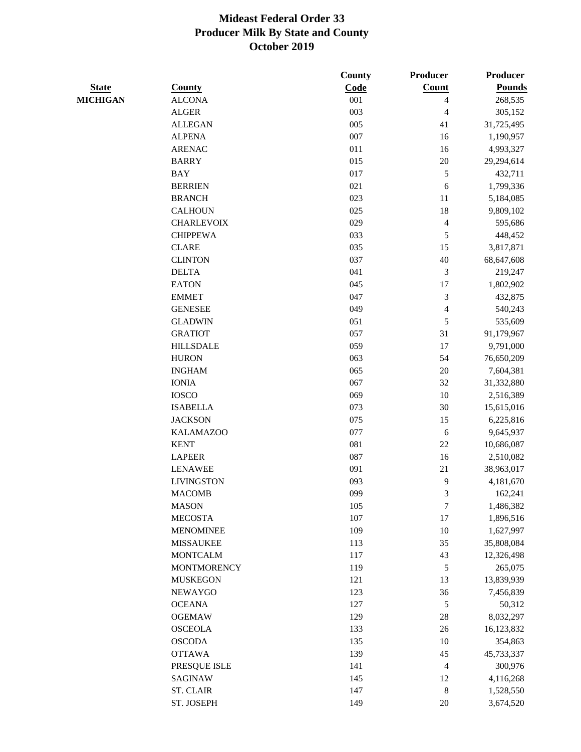|                 |                    | County | <b>Producer</b>          | Producer      |
|-----------------|--------------------|--------|--------------------------|---------------|
| <b>State</b>    | <b>County</b>      | Code   | <b>Count</b>             | <b>Pounds</b> |
| <b>MICHIGAN</b> | <b>ALCONA</b>      | 001    | 4                        | 268,535       |
|                 | <b>ALGER</b>       | 003    | 4                        | 305,152       |
|                 | <b>ALLEGAN</b>     | 005    | 41                       | 31,725,495    |
|                 | <b>ALPENA</b>      | 007    | 16                       | 1,190,957     |
|                 | <b>ARENAC</b>      | 011    | 16                       | 4,993,327     |
|                 | <b>BARRY</b>       | 015    | $20\,$                   | 29,294,614    |
|                 | <b>BAY</b>         | 017    | $\sqrt{5}$               | 432,711       |
|                 | <b>BERRIEN</b>     | 021    | 6                        | 1,799,336     |
|                 | <b>BRANCH</b>      | 023    | 11                       | 5,184,085     |
|                 | <b>CALHOUN</b>     | 025    | 18                       | 9,809,102     |
|                 | <b>CHARLEVOIX</b>  | 029    | $\overline{\mathcal{A}}$ | 595,686       |
|                 | <b>CHIPPEWA</b>    | 033    | $\sqrt{5}$               | 448,452       |
|                 | <b>CLARE</b>       | 035    | 15                       | 3,817,871     |
|                 | <b>CLINTON</b>     | 037    | $40\,$                   | 68,647,608    |
|                 | <b>DELTA</b>       | 041    | 3                        | 219,247       |
|                 | <b>EATON</b>       | 045    | 17                       | 1,802,902     |
|                 | <b>EMMET</b>       | 047    | 3                        | 432,875       |
|                 | <b>GENESEE</b>     | 049    | $\overline{\mathbf{4}}$  | 540,243       |
|                 | <b>GLADWIN</b>     | 051    | 5                        | 535,609       |
|                 | <b>GRATIOT</b>     | 057    | 31                       | 91,179,967    |
|                 | <b>HILLSDALE</b>   | 059    | 17                       | 9,791,000     |
|                 | <b>HURON</b>       | 063    | 54                       | 76,650,209    |
|                 | <b>INGHAM</b>      | 065    | 20                       | 7,604,381     |
|                 | <b>IONIA</b>       | 067    | 32                       | 31,332,880    |
|                 | <b>IOSCO</b>       | 069    | 10                       | 2,516,389     |
|                 | <b>ISABELLA</b>    | 073    | 30                       | 15,615,016    |
|                 | <b>JACKSON</b>     | 075    | 15                       | 6,225,816     |
|                 | <b>KALAMAZOO</b>   | 077    | 6                        | 9,645,937     |
|                 | <b>KENT</b>        | 081    | $22\,$                   | 10,686,087    |
|                 | <b>LAPEER</b>      | 087    | 16                       | 2,510,082     |
|                 | <b>LENAWEE</b>     | 091    | 21                       | 38,963,017    |
|                 | <b>LIVINGSTON</b>  | 093    | 9                        | 4,181,670     |
|                 | <b>MACOMB</b>      | 099    | 3                        | 162,241       |
|                 | <b>MASON</b>       | 105    | $\boldsymbol{7}$         | 1,486,382     |
|                 | <b>MECOSTA</b>     | 107    | 17                       | 1,896,516     |
|                 | <b>MENOMINEE</b>   | 109    | 10                       | 1,627,997     |
|                 | <b>MISSAUKEE</b>   | 113    | 35                       | 35,808,084    |
|                 | <b>MONTCALM</b>    | 117    | 43                       | 12,326,498    |
|                 | <b>MONTMORENCY</b> | 119    | $\sqrt{5}$               | 265,075       |
|                 | <b>MUSKEGON</b>    | 121    | 13                       | 13,839,939    |
|                 | <b>NEWAYGO</b>     | 123    | 36                       | 7,456,839     |
|                 | <b>OCEANA</b>      | 127    | $\sqrt{5}$               | 50,312        |
|                 | <b>OGEMAW</b>      | 129    | $28\,$                   | 8,032,297     |
|                 | <b>OSCEOLA</b>     | 133    | 26                       | 16,123,832    |
|                 | <b>OSCODA</b>      | 135    | 10                       | 354,863       |
|                 | <b>OTTAWA</b>      | 139    | 45                       | 45,733,337    |
|                 | PRESQUE ISLE       | 141    | 4                        | 300,976       |
|                 | SAGINAW            | 145    | 12                       | 4,116,268     |
|                 | <b>ST. CLAIR</b>   | 147    | $\,8\,$                  | 1,528,550     |
|                 | ST. JOSEPH         | 149    | $20\,$                   | 3,674,520     |
|                 |                    |        |                          |               |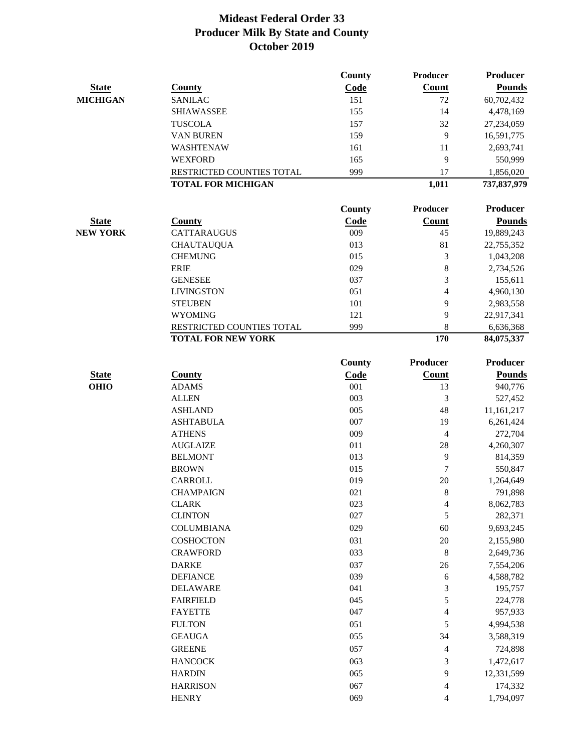|                 |                           | County        | Producer        | <b>Producer</b> |
|-----------------|---------------------------|---------------|-----------------|-----------------|
| <b>State</b>    | <b>County</b>             | Code          | <b>Count</b>    | <b>Pounds</b>   |
| <b>MICHIGAN</b> | <b>SANILAC</b>            | 151           | 72              | 60,702,432      |
|                 | <b>SHIAWASSEE</b>         | 155           | 14              | 4,478,169       |
|                 | <b>TUSCOLA</b>            | 157           | 32              | 27,234,059      |
|                 | <b>VAN BUREN</b>          | 159           | 9               | 16,591,775      |
|                 | WASHTENAW                 | 161           | 11              | 2,693,741       |
|                 | <b>WEXFORD</b>            | 165           | 9               | 550,999         |
|                 | RESTRICTED COUNTIES TOTAL | 999           | 17              | 1,856,020       |
|                 | <b>TOTAL FOR MICHIGAN</b> |               | 1,011           | 737,837,979     |
|                 |                           | <b>County</b> | <b>Producer</b> | <b>Producer</b> |
| <b>State</b>    | <b>County</b>             | Code          | Count           | <b>Pounds</b>   |
| <b>NEW YORK</b> | <b>CATTARAUGUS</b>        | 009           | 45              | 19,889,243      |
|                 | <b>CHAUTAUQUA</b>         | 013           | 81              | 22,755,352      |
|                 | <b>CHEMUNG</b>            | 015           | 3               | 1,043,208       |
|                 | <b>ERIE</b>               | 029           | $\,8\,$         | 2,734,526       |
|                 | <b>GENESEE</b>            | 037           | 3               | 155,611         |
|                 | <b>LIVINGSTON</b>         | 051           | $\overline{4}$  | 4,960,130       |
|                 | <b>STEUBEN</b>            | 101           | 9               | 2,983,558       |
|                 | <b>WYOMING</b>            | 121           | 9               | 22,917,341      |
|                 | RESTRICTED COUNTIES TOTAL | 999           | 8               | 6,636,368       |
|                 | <b>TOTAL FOR NEW YORK</b> |               | 170             | 84,075,337      |
|                 |                           | <b>County</b> | <b>Producer</b> | <b>Producer</b> |
| <b>State</b>    | <b>County</b>             | Code          | Count           | <b>Pounds</b>   |
| <b>OHIO</b>     | <b>ADAMS</b>              | 001           | 13              | 940,776         |
|                 | <b>ALLEN</b>              | 003           | 3               | 527,452         |
|                 | <b>ASHLAND</b>            | 005           | 48              | 11,161,217      |
|                 | <b>ASHTABULA</b>          | 007           | 19              | 6,261,424       |
|                 | <b>ATHENS</b>             | 009           | $\overline{4}$  | 272,704         |
|                 | <b>AUGLAIZE</b>           | 011           | 28              | 4,260,307       |
|                 | <b>BELMONT</b>            | 013           | 9               | 814,359         |
|                 | <b>BROWN</b>              | 015           | 7               | 550,847         |
|                 | <b>CARROLL</b>            | 019           | 20              | 1,264,649       |
|                 | <b>CHAMPAIGN</b>          | 021           | 8               | 791,898         |
|                 | <b>CLARK</b>              | 023           | 4               | 8,062,783       |
|                 | <b>CLINTON</b>            | 027           | 5               | 282,371         |
|                 | <b>COLUMBIANA</b>         | 029           | 60              | 9,693,245       |
|                 | COSHOCTON                 | 031           | $20\,$          | 2,155,980       |
|                 | <b>CRAWFORD</b>           | 033           | $\,8\,$         | 2,649,736       |
|                 | <b>DARKE</b>              | 037           | 26              | 7,554,206       |
|                 | <b>DEFIANCE</b>           | 039           | 6               | 4,588,782       |
|                 | <b>DELAWARE</b>           | 041           | 3               | 195,757         |
|                 | <b>FAIRFIELD</b>          | 045           | 5               | 224,778         |
|                 | <b>FAYETTE</b>            | 047           | 4               | 957,933         |
|                 | <b>FULTON</b>             | 051           | 5               | 4,994,538       |
|                 | <b>GEAUGA</b>             | 055           | 34              | 3,588,319       |
|                 | <b>GREENE</b>             | 057           | 4               | 724,898         |
|                 | <b>HANCOCK</b>            | 063           | 3               | 1,472,617       |
|                 | <b>HARDIN</b>             | 065           | 9               | 12,331,599      |
|                 | <b>HARRISON</b>           | 067           | 4               | 174,332         |
|                 | <b>HENRY</b>              | 069           | 4               | 1,794,097       |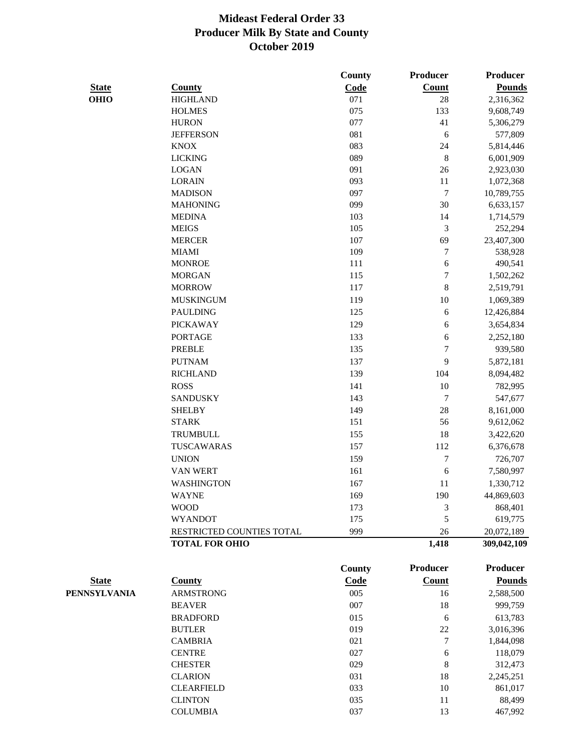|              |                               | County        | Producer         | <b>Producer</b> |
|--------------|-------------------------------|---------------|------------------|-----------------|
| <b>State</b> | <b>County</b>                 | Code          | <b>Count</b>     | <b>Pounds</b>   |
| <b>OHIO</b>  | <b>HIGHLAND</b>               | 071           | 28               | 2,316,362       |
|              | <b>HOLMES</b>                 | 075           | 133              | 9,608,749       |
|              | <b>HURON</b>                  | 077           | 41               | 5,306,279       |
|              | <b>JEFFERSON</b>              | 081           | 6                | 577,809         |
|              | <b>KNOX</b>                   | 083           | 24               | 5,814,446       |
|              | <b>LICKING</b>                | 089           | 8                | 6,001,909       |
|              | <b>LOGAN</b>                  | 091           | 26               | 2,923,030       |
|              | <b>LORAIN</b>                 | 093           | 11               | 1,072,368       |
|              | <b>MADISON</b>                | 097           | $\sqrt{ }$       | 10,789,755      |
|              | <b>MAHONING</b>               | 099           | 30               | 6,633,157       |
|              | <b>MEDINA</b>                 | 103           | 14               | 1,714,579       |
|              | <b>MEIGS</b>                  | 105           | $\mathfrak{Z}$   | 252,294         |
|              | <b>MERCER</b>                 | 107           | 69               | 23,407,300      |
|              | <b>MIAMI</b>                  | 109           | $\tau$           | 538,928         |
|              | <b>MONROE</b>                 | 111           | 6                | 490,541         |
|              | <b>MORGAN</b>                 | 115           | $\overline{7}$   | 1,502,262       |
|              | <b>MORROW</b>                 | 117           | 8                | 2,519,791       |
|              | <b>MUSKINGUM</b>              | 119           | 10               | 1,069,389       |
|              | <b>PAULDING</b>               | 125           | 6                | 12,426,884      |
|              | <b>PICKAWAY</b>               | 129           | 6                | 3,654,834       |
|              | <b>PORTAGE</b>                | 133           | 6                | 2,252,180       |
|              | <b>PREBLE</b>                 | 135           | $\overline{7}$   | 939,580         |
|              | <b>PUTNAM</b>                 | 137           | 9                | 5,872,181       |
|              | <b>RICHLAND</b>               | 139           | 104              | 8,094,482       |
|              | <b>ROSS</b>                   | 141           | 10               | 782,995         |
|              | <b>SANDUSKY</b>               |               | $\boldsymbol{7}$ |                 |
|              |                               | 143           | 28               | 547,677         |
|              | <b>SHELBY</b><br><b>STARK</b> | 149<br>151    | 56               | 8,161,000       |
|              |                               |               |                  | 9,612,062       |
|              | <b>TRUMBULL</b>               | 155           | 18               | 3,422,620       |
|              | <b>TUSCAWARAS</b>             | 157           | 112              | 6,376,678       |
|              | <b>UNION</b>                  | 159           | $\boldsymbol{7}$ | 726,707         |
|              | <b>VAN WERT</b>               | 161           | 6                | 7,580,997       |
|              | <b>WASHINGTON</b>             | 167           | 11               | 1,330,712       |
|              | WAYNE                         | 169           | 190              | 44,869,603      |
|              | <b>WOOD</b>                   | 173           | 3                | 868,401         |
|              | <b>WYANDOT</b>                | 175           | 5                | 619,775         |
|              | RESTRICTED COUNTIES TOTAL     | 999           | 26               | 20,072,189      |
|              | <b>TOTAL FOR OHIO</b>         |               | 1,418            | 309,042,109     |
|              |                               | <b>County</b> | <b>Producer</b>  | <b>Producer</b> |
| <b>State</b> | <b>County</b>                 | Code          | Count            | <b>Pounds</b>   |
| PENNSYLVANIA | <b>ARMSTRONG</b>              | 005           | 16               | 2,588,500       |
|              | <b>BEAVER</b>                 | 007           | 18               | 999,759         |
|              | <b>BRADFORD</b>               | 015           | 6                | 613,783         |
|              | <b>BUTLER</b>                 | 019           | $22\,$           | 3,016,396       |
|              | <b>CAMBRIA</b>                | 021           | $\boldsymbol{7}$ | 1,844,098       |
|              | <b>CENTRE</b>                 | 027           | 6                | 118,079         |
|              | <b>CHESTER</b>                | 029           | $\,8$            | 312,473         |
|              | <b>CLARION</b>                | 031           | 18               | 2,245,251       |
|              | <b>CLEARFIELD</b>             | 033           | $10\,$           | 861,017         |
|              | <b>CLINTON</b>                | 035           | 11               | 88,499          |
|              | <b>COLUMBIA</b>               | 037           | 13               | 467,992         |
|              |                               |               |                  |                 |